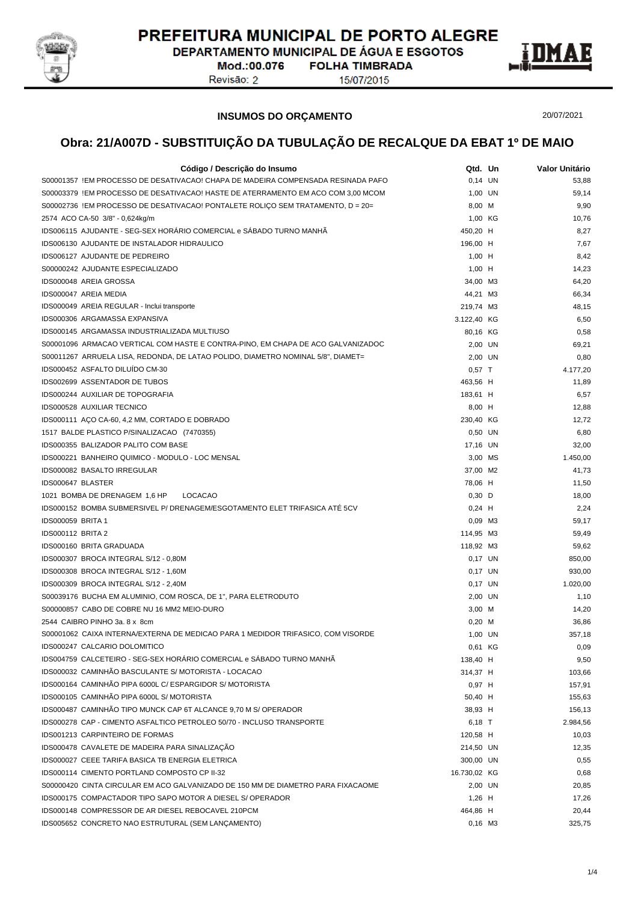

DEPARTAMENTO MUNICIPAL DE ÁGUA E ESGOTOS Mod.:00.076 **FOLHA TIMBRADA** 

Revisão: 2

15/07/2015



20/07/2021

### **INSUMOS DO ORÇAMENTO**

| Código / Descrição do Insumo                                                     | Qtd. Un             | Valor Unitário |
|----------------------------------------------------------------------------------|---------------------|----------------|
| S00001357 !EM PROCESSO DE DESATIVACAO! CHAPA DE MADEIRA COMPENSADA RESINADA PAFO | $0,14$ UN           | 53,88          |
| S00003379 !EM PROCESSO DE DESATIVACAO! HASTE DE ATERRAMENTO EM ACO COM 3,00 MCOM | 1,00 UN             | 59,14          |
| S00002736 !EM PROCESSO DE DESATIVACAO! PONTALETE ROLIÇO SEM TRATAMENTO, D = 20=  | 8,00 M              | 9,90           |
| 2574 ACO CA-50 3/8" - 0,624kg/m                                                  | 1,00 KG             | 10,76          |
| IDS006115 AJUDANTE - SEG-SEX HORÁRIO COMERCIAL e SÁBADO TURNO MANHÃ              | 450,20 H            | 8,27           |
| IDS006130 AJUDANTE DE INSTALADOR HIDRAULICO                                      | 196,00 H            | 7,67           |
| IDS006127 AJUDANTE DE PEDREIRO                                                   | $1,00$ H            | 8,42           |
| S00000242 AJUDANTE ESPECIALIZADO                                                 | $1,00$ H            | 14,23          |
| IDS000048 AREIA GROSSA                                                           | 34,00 M3            | 64,20          |
| IDS000047 AREIA MEDIA                                                            | 44,21 M3            | 66,34          |
| IDS000049 AREIA REGULAR - Inclui transporte                                      | 219,74 M3           | 48,15          |
| IDS000306 ARGAMASSA EXPANSIVA                                                    | 3.122,40 KG         | 6,50           |
| IDS000145 ARGAMASSA INDUSTRIALIZADA MULTIUSO                                     | 80,16 KG            | 0,58           |
| S00001096 ARMACAO VERTICAL COM HASTE E CONTRA-PINO, EM CHAPA DE ACO GALVANIZADOC | 2,00 UN             | 69,21          |
| S00011267 ARRUELA LISA, REDONDA, DE LATAO POLIDO, DIAMETRO NOMINAL 5/8", DIAMET= | 2,00 UN             | 0,80           |
| IDS000452 ASFALTO DILUÍDO CM-30                                                  | $0,57$ T            | 4.177,20       |
| IDS002699 ASSENTADOR DE TUBOS                                                    | 463,56 H            | 11,89          |
| IDS000244 AUXILIAR DE TOPOGRAFIA                                                 | 183,61 H            | 6,57           |
| IDS000528 AUXILIAR TECNICO                                                       | 8,00 H              | 12,88          |
| IDS000111 ACO CA-60, 4,2 MM, CORTADO E DOBRADO                                   | 230,40 KG           | 12,72          |
| 1517 BALDE PLASTICO P/SINALIZACAO (7470355)                                      | $0.50$ UN           | 6,80           |
| IDS000355 BALIZADOR PALITO COM BASE                                              | 17,16 UN            | 32,00          |
| IDS000221 BANHEIRO QUIMICO - MODULO - LOC MENSAL                                 | 3,00 MS             | 1.450,00       |
| IDS000082 BASALTO IRREGULAR                                                      | 37,00 M2            | 41,73          |
| IDS000647 BLASTER                                                                |                     |                |
| 1021 BOMBA DE DRENAGEM 1,6 HP<br>LOCACAO                                         | 78,06 H<br>$0,30$ D | 11,50<br>18,00 |
| IDS000152 BOMBA SUBMERSIVEL P/ DRENAGEM/ESGOTAMENTO ELET TRIFASICA ATÉ 5CV       |                     | 2,24           |
| <b>IDS000059 BRITA 1</b>                                                         | $0,24$ H<br>0,09 M3 |                |
| <b>IDS000112 BRITA 2</b>                                                         | 114,95 M3           | 59,17<br>59,49 |
| IDS000160 BRITA GRADUADA                                                         |                     |                |
|                                                                                  | 118,92 M3           | 59,62          |
| IDS000307 BROCA INTEGRAL S/12 - 0,80M                                            | 0,17 UN             | 850,00         |
| IDS000308 BROCA INTEGRAL S/12 - 1,60M                                            | 0,17 UN             | 930,00         |
| IDS000309 BROCA INTEGRAL S/12 - 2,40M                                            | $0,17$ UN           | 1.020.00       |
| S00039176 BUCHA EM ALUMINIO, COM ROSCA, DE 1", PARA ELETRODUTO                   | 2,00 UN             | 1,10           |
| S00000857 CABO DE COBRE NU 16 MM2 MEIO-DURO                                      | 3,00 M              | 14,20          |
| 2544 CAIBRO PINHO 3a. 8 x 8cm                                                    | $0,20$ M            | 36,86          |
| S00001062 CAIXA INTERNA/EXTERNA DE MEDICAO PARA 1 MEDIDOR TRIFASICO, COM VISORDE | 1,00 UN             | 357,18         |
| IDS000247 CALCARIO DOLOMITICO                                                    | 0,61 KG             | 0,09           |
| IDS004759 CALCETEIRO - SEG-SEX HORÁRIO COMERCIAL e SÁBADO TURNO MANHÃ            | 138,40 H            | 9,50           |
| IDS000032 CAMINHÃO BASCULANTE S/ MOTORISTA - LOCACAO                             | 314,37 H            | 103,66         |
| IDS000164 CAMINHÃO PIPA 6000L C/ ESPARGIDOR S/ MOTORISTA                         | $0,97$ H            | 157,91         |
| IDS000105 CAMINHÃO PIPA 6000L S/ MOTORISTA                                       | 50,40 H             | 155,63         |
| IDS000487 CAMINHÃO TIPO MUNCK CAP 6T ALCANCE 9,70 M S/ OPERADOR                  | 38,93 H             | 156,13         |
| IDS000278 CAP - CIMENTO ASFALTICO PETROLEO 50/70 - INCLUSO TRANSPORTE            | 6,18 T              | 2.984,56       |
| IDS001213 CARPINTEIRO DE FORMAS                                                  | 120,58 H            | 10,03          |
| IDS000478 CAVALETE DE MADEIRA PARA SINALIZAÇÃO                                   | 214,50 UN           | 12,35          |
| IDS000027 CEEE TARIFA BASICA TB ENERGIA ELETRICA                                 | 300,00 UN           | 0,55           |
| IDS000114 CIMENTO PORTLAND COMPOSTO CP II-32                                     | 16.730,02 KG        | 0,68           |
| S00000420 CINTA CIRCULAR EM ACO GALVANIZADO DE 150 MM DE DIAMETRO PARA FIXACAOME | 2,00 UN             | 20,85          |
| IDS000175 COMPACTADOR TIPO SAPO MOTOR A DIESEL S/ OPERADOR                       | $1,26$ H            | 17,26          |
| IDS000148 COMPRESSOR DE AR DIESEL REBOCAVEL 210PCM                               | 464,86 H            | 20,44          |
| IDS005652 CONCRETO NAO ESTRUTURAL (SEM LANÇAMENTO)                               | $0,16$ M3           | 325,75         |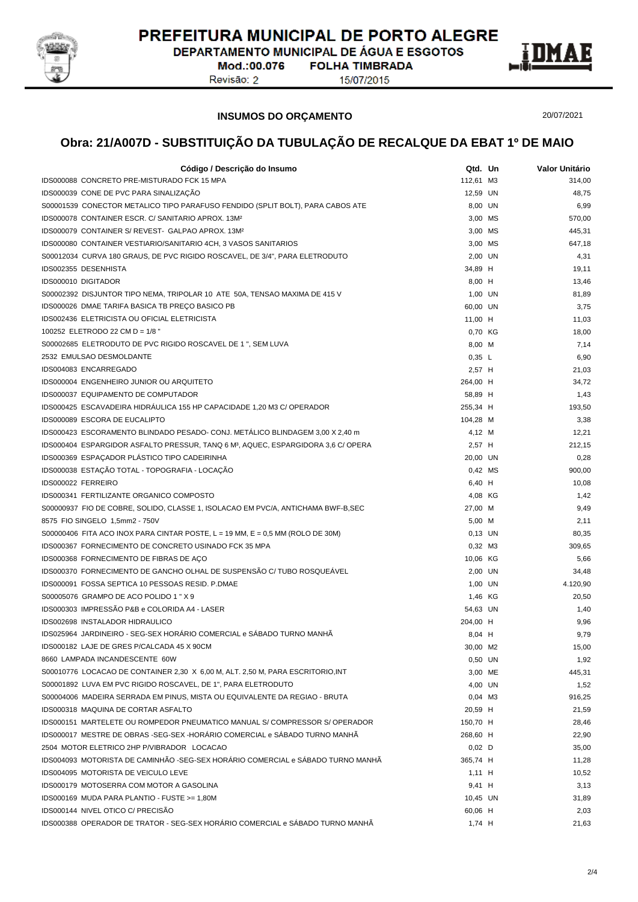

DEPARTAMENTO MUNICIPAL DE ÁGUA E ESGOTOS Mod.:00.076 **FOLHA TIMBRADA** 

Revisão: 2

15/07/2015



20/07/2021

#### **INSUMOS DO ORÇAMENTO**

| Código / Descrição do Insumo                                                                  | Qtd. Un     | Valor Unitário |
|-----------------------------------------------------------------------------------------------|-------------|----------------|
| IDS000088 CONCRETO PRE-MISTURADO FCK 15 MPA                                                   | 112,61 M3   | 314,00         |
| IDS000039 CONE DE PVC PARA SINALIZAÇÃO                                                        | 12,59 UN    | 48,75          |
| S00001539 CONECTOR METALICO TIPO PARAFUSO FENDIDO (SPLIT BOLT), PARA CABOS ATE                | 8,00 UN     | 6,99           |
| IDS000078 CONTAINER ESCR. C/ SANITARIO APROX. 13M <sup>2</sup>                                | 3.00 MS     | 570,00         |
| IDS000079 CONTAINER S/ REVEST- GALPAO APROX. 13M2                                             | 3,00 MS     | 445,31         |
| IDS000080 CONTAINER VESTIARIO/SANITARIO 4CH, 3 VASOS SANITARIOS                               | 3,00 MS     | 647,18         |
| S00012034 CURVA 180 GRAUS, DE PVC RIGIDO ROSCAVEL, DE 3/4", PARA ELETRODUTO                   | 2,00 UN     | 4,31           |
| IDS002355 DESENHISTA                                                                          | 34,89 H     | 19,11          |
| <b>IDS000010 DIGITADOR</b>                                                                    | 8,00 H      | 13,46          |
| S00002392 DISJUNTOR TIPO NEMA, TRIPOLAR 10 ATE 50A, TENSAO MAXIMA DE 415 V                    | 1,00 UN     | 81,89          |
| IDS000026 DMAE TARIFA BASICA TB PREÇO BASICO PB                                               | 60,00 UN    | 3,75           |
| IDS002436 ELETRICISTA OU OFICIAL ELETRICISTA                                                  | 11,00 H     | 11,03          |
| 100252 ELETRODO 22 CM D = 1/8 "                                                               | 0,70 KG     | 18,00          |
| S00002685 ELETRODUTO DE PVC RIGIDO ROSCAVEL DE 1 ", SEM LUVA                                  | 8,00 M      | 7,14           |
| 2532 EMULSAO DESMOLDANTE                                                                      | $0,35 \; L$ | 6,90           |
| IDS004083 ENCARREGADO                                                                         | 2,57 H      | 21,03          |
| IDS000004 ENGENHEIRO JUNIOR OU ARQUITETO                                                      | 264,00 H    | 34,72          |
| IDS000037 EQUIPAMENTO DE COMPUTADOR                                                           | 58,89 H     | 1,43           |
| IDS000425 ESCAVADEIRA HIDRÁULICA 155 HP CAPACIDADE 1,20 M3 C/ OPERADOR                        | 255,34 H    | 193,50         |
| IDS000089 ESCORA DE EUCALIPTO                                                                 | 104,28 M    | 3,38           |
| IDS000423 ESCORAMENTO BLINDADO PESADO- CONJ. METÁLICO BLINDAGEM 3,00 X 2,40 m                 | 4,12 M      | 12,21          |
| IDS000404 ESPARGIDOR ASFALTO PRESSUR, TANQ 6 M <sup>3</sup> , AQUEC, ESPARGIDORA 3,6 C/ OPERA | $2,57$ H    | 212,15         |
| IDS000369 ESPAÇADOR PLÁSTICO TIPO CADEIRINHA                                                  | 20,00 UN    | 0,28           |
| IDS000038 ESTAÇÃO TOTAL - TOPOGRAFIA - LOCAÇÃO                                                | 0,42 MS     | 900,00         |
| IDS000022 FERREIRO                                                                            | 6,40 H      | 10,08          |
| IDS000341 FERTILIZANTE ORGANICO COMPOSTO                                                      | 4,08 KG     | 1,42           |
| S00000937 FIO DE COBRE, SOLIDO, CLASSE 1, ISOLACAO EM PVC/A, ANTICHAMA BWF-B,SEC              | 27,00 M     | 9,49           |
| 8575 FIO SINGELO 1,5mm2 - 750V                                                                | 5,00 M      | 2,11           |
| S00000406 FITA ACO INOX PARA CINTAR POSTE, $L = 19$ MM, $E = 0.5$ MM (ROLO DE 30M)            | $0,13$ UN   | 80,35          |
| IDS000367 FORNECIMENTO DE CONCRETO USINADO FCK 35 MPA                                         | 0,32 M3     | 309,65         |
| IDS000368 FORNECIMENTO DE FIBRAS DE AÇO                                                       | 10,06 KG    | 5,66           |
| IDS000370 FORNECIMENTO DE GANCHO OLHAL DE SUSPENSÃO C/ TUBO ROSQUEAVEL                        | 2,00 UN     | 34,48          |
| IDS000091 FOSSA SEPTICA 10 PESSOAS RESID. P.DMAE                                              | 1,00 UN     | 4.120,90       |
| S00005076 GRAMPO DE ACO POLIDO 1 " X 9                                                        | 1,46 KG     | 20,50          |
| IDS000303 IMPRESSÃO P&B e COLORIDA A4 - LASER                                                 | 54,63 UN    | 1,40           |
| <b>IDS002698 INSTALADOR HIDRAULICO</b>                                                        | 204,00 H    | 9,96           |
| IDS025964 JARDINEIRO - SEG-SEX HORÁRIO COMERCIAL e SÁBADO TURNO MANHÃ                         | 8,04 H      | 9,79           |
| IDS000182 LAJE DE GRES P/CALCADA 45 X 90CM                                                    | 30,00 M2    | 15,00          |
| 8660 LAMPADA INCANDESCENTE 60W                                                                | 0,50 UN     | 1,92           |
| S00010776 LOCACAO DE CONTAINER 2,30 X 6,00 M, ALT. 2,50 M, PARA ESCRITORIO, INT               | 3,00 ME     | 445,31         |
| S00001892 LUVA EM PVC RIGIDO ROSCAVEL, DE 1", PARA ELETRODUTO                                 | 4,00 UN     | 1,52           |
| S00004006 MADEIRA SERRADA EM PINUS, MISTA OU EQUIVALENTE DA REGIAO - BRUTA                    | 0,04 M3     | 916,25         |
| IDS000318 MAQUINA DE CORTAR ASFALTO                                                           | 20,59 H     | 21,59          |
| IDS000151 MARTELETE OU ROMPEDOR PNEUMATICO MANUAL S/ COMPRESSOR S/ OPERADOR                   | 150,70 H    | 28,46          |
| IDS000017 MESTRE DE OBRAS -SEG-SEX -HORÁRIO COMERCIAL e SÁBADO TURNO MANHÃ                    | 268,60 H    | 22,90          |
| 2504 MOTOR ELETRICO 2HP P/VIBRADOR LOCACAO                                                    | $0,02$ D    | 35,00          |
| IDS004093 MOTORISTA DE CAMINHÃO -SEG-SEX HORÁRIO COMERCIAL e SÁBADO TURNO MANHÃ               | 365,74 H    | 11,28          |
| IDS004095 MOTORISTA DE VEICULO LEVE                                                           | $1,11$ H    | 10,52          |
| IDS000179 MOTOSERRA COM MOTOR A GASOLINA                                                      | 9,41 H      | 3,13           |
| IDS000169 MUDA PARA PLANTIO - FUSTE >= 1,80M                                                  | 10,45 UN    | 31,89          |
| IDS000144 NIVEL OTICO C/ PRECISÃO                                                             | 60,06 H     | 2,03           |
| IDS000388 OPERADOR DE TRATOR - SEG-SEX HORÁRIO COMERCIAL e SÁBADO TURNO MANHÃ                 | 1,74 H      | 21,63          |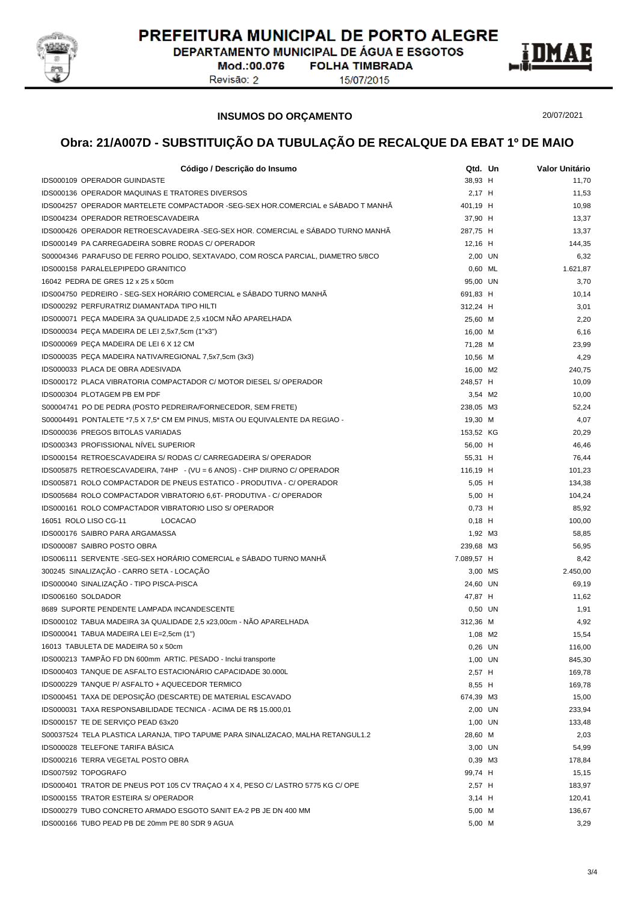

DEPARTAMENTO MUNICIPAL DE ÁGUA E ESGOTOS Mod.:00.076 **FOLHA TIMBRADA** 

Revisão: 2

15/07/2015



**INSUMOS DO ORÇAMENTO**

20/07/2021

| Código / Descrição do Insumo                                                     | Qtd. Un              | Valor Unitário   |
|----------------------------------------------------------------------------------|----------------------|------------------|
| IDS000109 OPERADOR GUINDASTE                                                     | 38,93 H              | 11,70            |
| <b>IDS000136 OPERADOR MAQUINAS E TRATORES DIVERSOS</b>                           | 2,17 H               | 11,53            |
| IDS004257 OPERADOR MARTELETE COMPACTADOR -SEG-SEX HOR.COMERCIAL e SÁBADO T MANHÃ | 401,19 H             | 10,98            |
| IDS004234 OPERADOR RETROESCAVADEIRA                                              | 37,90 H              | 13,37            |
| IDS000426 OPERADOR RETROESCAVADEIRA -SEG-SEX HOR. COMERCIAL e SÁBADO TURNO MANHÃ | 287,75 H             | 13,37            |
| IDS000149 PA CARREGADEIRA SOBRE RODAS C/ OPERADOR                                | 12,16 H              | 144,35           |
| S00004346 PARAFUSO DE FERRO POLIDO, SEXTAVADO, COM ROSCA PARCIAL, DIAMETRO 5/8CO | 2,00 UN              | 6,32             |
| IDS000158 PARALELEPIPEDO GRANITICO                                               | 0.60 ML              | 1.621,87         |
| 16042 PEDRA DE GRES 12 x 25 x 50cm                                               | 95,00 UN             | 3,70             |
| IDS004750 PEDREIRO - SEG-SEX HORÁRIO COMERCIAL e SÁBADO TURNO MANHÃ              | 691,83 H             | 10,14            |
| <b>IDS000292 PERFURATRIZ DIAMANTADA TIPO HILTI</b>                               | 312,24 H             | 3,01             |
| IDS000071 PEÇA MADEIRA 3A QUALIDADE 2,5 x10CM NÃO APARELHADA                     | 25,60 M              | 2,20             |
| IDS000034 PEÇA MADEIRA DE LEI 2,5x7,5cm (1"x3")                                  | 16,00 M              | 6,16             |
| IDS000069 PEÇA MADEIRA DE LEI 6 X 12 CM                                          | 71,28 M              | 23,99            |
| IDS000035 PEÇA MADEIRA NATIVA/REGIONAL 7,5x7,5cm (3x3)                           | 10,56 M              | 4,29             |
| IDS000033 PLACA DE OBRA ADESIVADA                                                | 16,00 M2             | 240,75           |
| IDS000172 PLACA VIBRATORIA COMPACTADOR C/ MOTOR DIESEL S/ OPERADOR               | 248,57 H             | 10,09            |
| IDS000304 PLOTAGEM PB EM PDF                                                     | 3,54 M2              | 10,00            |
| S00004741 PO DE PEDRA (POSTO PEDREIRA/FORNECEDOR, SEM FRETE)                     | 238,05 M3            | 52,24            |
| S00004491 PONTALETE *7,5 X 7,5 * CM EM PINUS, MISTA OU EQUIVALENTE DA REGIAO -   | 19,30 M              | 4,07             |
| IDS000036 PREGOS BITOLAS VARIADAS                                                | 153,52 KG            | 20,29            |
| IDS000343 PROFISSIONAL NIVEL SUPERIOR                                            | 56,00 H              | 46,46            |
| IDS000154 RETROESCAVADEIRA S/ RODAS C/ CARREGADEIRA S/ OPERADOR                  | 55,31 H              | 76,44            |
| IDS005875 RETROESCAVADEIRA, 74HP - (VU = 6 ANOS) - CHP DIURNO C/ OPERADOR        | 116,19 H             | 101,23           |
| IDS005871 ROLO COMPACTADOR DE PNEUS ESTATICO - PRODUTIVA - C/ OPERADOR           | 5,05 H               | 134,38           |
| IDS005684 ROLO COMPACTADOR VIBRATORIO 6,6T- PRODUTIVA - C/ OPERADOR              | $5,00$ H             | 104,24           |
| IDS000161 ROLO COMPACTADOR VIBRATORIO LISO S/ OPERADOR                           | $0,73$ H             | 85,92            |
| 16051 ROLO LISO CG-11<br><b>LOCACAO</b>                                          | $0,18$ H             | 100,00           |
| IDS000176 SAIBRO PARA ARGAMASSA                                                  | 1,92 M3              | 58,85            |
| IDS000087 SAIBRO POSTO OBRA                                                      | 239,68 M3            | 56,95            |
| IDS006111 SERVENTE - SEG-SEX HORÁRIO COMERCIAL e SÁBADO TURNO MANHÃ              | 7.089,57 H           | 8,42             |
| 300245 SINALIZAÇÃO - CARRO SETA - LOCAÇÃO                                        | 3,00 MS              | 2.450,00         |
| IDS000040 SINALIZAÇÃO - TIPO PISCA-PISCA                                         |                      |                  |
| IDS006160 SOLDADOR                                                               | 24,60 UN             | 69,19            |
| 8689 SUPORTE PENDENTE LAMPADA INCANDESCENTE                                      | 47,87 H              | 11,62            |
| IDS000102 TABUA MADEIRA 3A QUALIDADE 2,5 x23,00cm - NÃO APARELHADA               | 0,50 UN<br>312,36 M  | 1,91<br>4,92     |
| IDS000041 TABUA MADEIRA LEI E=2,5cm (1")                                         | 1,08 M2              | 15,54            |
| 16013 TABULETA DE MADEIRA 50 x 50cm                                              |                      |                  |
| IDS000213 TAMPÃO FD DN 600mm ARTIC. PESADO - Inclui transporte                   | $0,26$ UN<br>1,00 UN | 116,00<br>845,30 |
| IDS000403 TANQUE DE ASFALTO ESTACIONÁRIO CAPACIDADE 30.000L                      | 2,57 H               | 169,78           |
| IDS000229 TANQUE P/ ASFALTO + AQUECEDOR TERMICO                                  | 8,55 H               | 169,78           |
| IDS000451 TAXA DE DEPOSIÇÃO (DESCARTE) DE MATERIAL ESCAVADO                      | 674,39 M3            |                  |
| IDS000031 TAXA RESPONSABILIDADE TECNICA - ACIMA DE R\$ 15.000,01                 |                      | 15,00            |
|                                                                                  | 2,00 UN              | 233,94           |
| IDS000157 TE DE SERVIÇO PEAD 63x20                                               | 1,00 UN              | 133,48           |
| S00037524 TELA PLASTICA LARANJA, TIPO TAPUME PARA SINALIZACAO, MALHA RETANGUL1.2 | 28,60 M              | 2,03             |
| IDS000028 TELEFONE TARIFA BASICA                                                 | 3,00 UN              | 54,99            |
| IDS000216 TERRA VEGETAL POSTO OBRA                                               | 0,39 M3              | 178,84           |
| IDS007592 TOPOGRAFO                                                              | 99,74 H              | 15,15            |
| IDS000401 TRATOR DE PNEUS POT 105 CV TRAÇÃO 4 X 4, PESO C/LASTRO 5775 KG C/OPE   | 2,57 H               | 183,97           |
| IDS000155 TRATOR ESTEIRA S/ OPERADOR                                             | $3,14$ H             | 120,41           |
| IDS000279 TUBO CONCRETO ARMADO ESGOTO SANIT EA-2 PB JE DN 400 MM                 | 5,00 M               | 136,67           |
| IDS000166 TUBO PEAD PB DE 20mm PE 80 SDR 9 AGUA                                  | 5,00 M               | 3,29             |